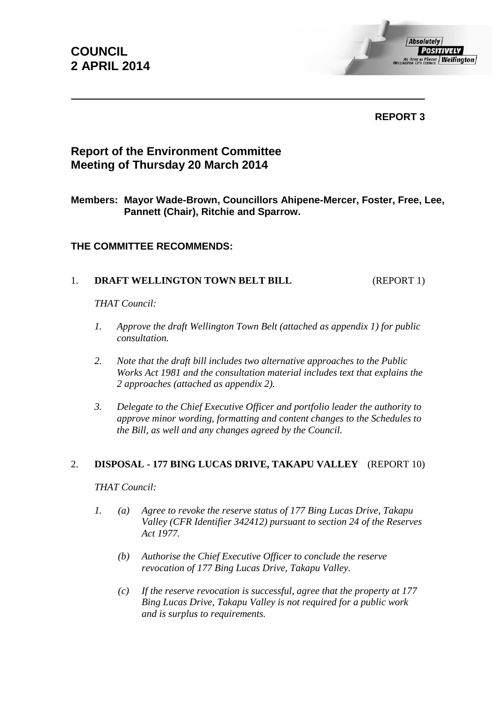**COUNCIL 2 APRIL 2014**

**REPORT 3**

# **Report of the Environment Committee Meeting of Thursday 20 March 2014**

**Members: Mayor Wade-Brown, Councillors Ahipene-Mercer, Foster, Free, Lee, Pannett (Chair), Ritchie and Sparrow.**

## **THE COMMITTEE RECOMMENDS:**

## 1. **DRAFT WELLINGTON TOWN BELT BILL** (REPORT 1)

*THAT Council:*

- *1. Approve the draft Wellington Town Belt (attached as appendix 1) for public consultation.*
- *2. Note that the draft bill includes two alternative approaches to the Public Works Act 1981 and the consultation material includes text that explains the 2 approaches (attached as appendix 2).*
- *3. Delegate to the Chief Executive Officer and portfolio leader the authority to approve minor wording, formatting and content changes to the Schedules to the Bill, as well and any changes agreed by the Council.*

### 2. **DISPOSAL - 177 BING LUCAS DRIVE, TAKAPU VALLEY** (REPORT 10)

*THAT Council:*

- *1. (a) Agree to revoke the reserve status of 177 Bing Lucas Drive, Takapu Valley (CFR Identifier 342412) pursuant to section 24 of the Reserves Act 1977.*
	- *(b) Authorise the Chief Executive Officer to conclude the reserve revocation of 177 Bing Lucas Drive, Takapu Valley.*
	- *(c) If the reserve revocation is successful, agree that the property at 177 Bing Lucas Drive, Takapu Valley is not required for a public work and is surplus to requirements.*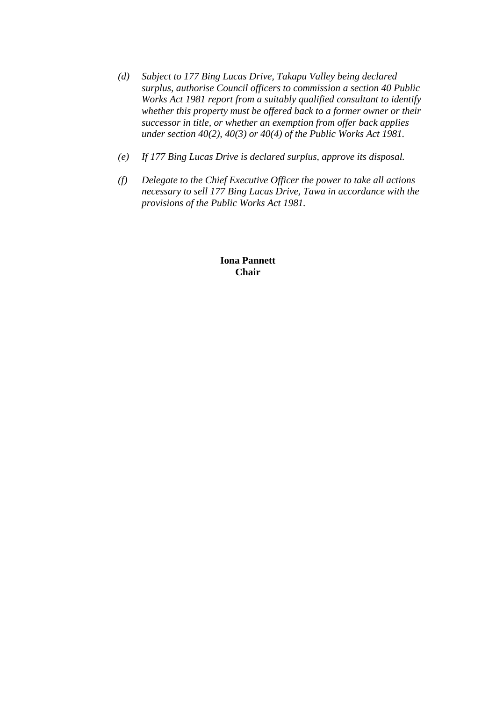- *(d) Subject to 177 Bing Lucas Drive, Takapu Valley being declared surplus, authorise Council officers to commission a section 40 Public Works Act 1981 report from a suitably qualified consultant to identify whether this property must be offered back to a former owner or their successor in title, or whether an exemption from offer back applies under section 40(2), 40(3) or 40(4) of the Public Works Act 1981.*
- *(e) If 177 Bing Lucas Drive is declared surplus, approve its disposal.*
- *(f) Delegate to the Chief Executive Officer the power to take all actions necessary to sell 177 Bing Lucas Drive, Tawa in accordance with the provisions of the Public Works Act 1981.*

**Iona Pannett Chair**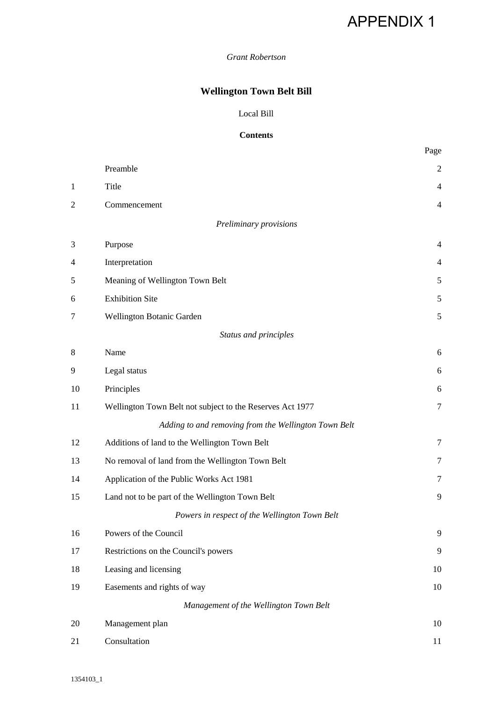# APPENDIX 1

### *Grant Robertson*

# **Wellington Town Belt Bill**

#### Local Bill

#### **Contents**

|                |                                                           | Page           |
|----------------|-----------------------------------------------------------|----------------|
|                | Preamble                                                  | $\overline{2}$ |
| 1              | Title                                                     | $\overline{4}$ |
| $\overline{c}$ | Commencement                                              | $\overline{4}$ |
|                | Preliminary provisions                                    |                |
| 3              | Purpose                                                   | $\overline{4}$ |
| 4              | Interpretation                                            | 4              |
| 5              | Meaning of Wellington Town Belt                           | 5              |
| 6              | <b>Exhibition Site</b>                                    | 5              |
| 7              | Wellington Botanic Garden                                 | 5              |
|                | Status and principles                                     |                |
| 8              | Name                                                      | 6              |
| 9              | Legal status                                              | 6              |
| 10             | Principles                                                | 6              |
| 11             | Wellington Town Belt not subject to the Reserves Act 1977 | $\tau$         |
|                | Adding to and removing from the Wellington Town Belt      |                |
| 12             | Additions of land to the Wellington Town Belt             | $\overline{7}$ |
| 13             | No removal of land from the Wellington Town Belt          | 7              |
| 14             | Application of the Public Works Act 1981                  | 7              |
| 15             | Land not to be part of the Wellington Town Belt           | 9              |
|                | Powers in respect of the Wellington Town Belt             |                |
| 16             | Powers of the Council                                     | 9              |
| 17             | Restrictions on the Council's powers                      | 9              |
| 18             | Leasing and licensing                                     | 10             |
| 19             | Easements and rights of way                               | 10             |
|                | Management of the Wellington Town Belt                    |                |
| 20             | Management plan                                           | 10             |
| 21             | Consultation                                              | 11             |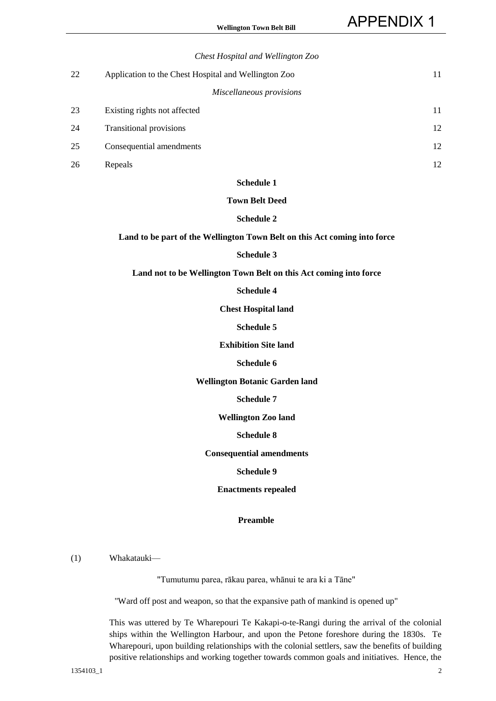|    | Chest Hospital and Wellington Zoo                    |    |
|----|------------------------------------------------------|----|
| 22 | Application to the Chest Hospital and Wellington Zoo | 11 |
|    | Miscellaneous provisions                             |    |
| 23 | Existing rights not affected                         | 11 |
| 24 | <b>Transitional provisions</b>                       | 12 |
| 25 | Consequential amendments                             | 12 |
| 26 | Repeals                                              | 12 |
|    |                                                      |    |

#### **Town Belt Deed**

#### **Schedule 2**

**Land to be part of the Wellington Town Belt on this Act coming into force**

#### **Schedule 3**

**Land not to be Wellington Town Belt on this Act coming into force**

#### **Schedule 4**

**Chest Hospital land**

#### **Schedule 5**

#### **Exhibition Site land**

#### **Schedule 6**

#### **Wellington Botanic Garden land**

**Schedule 7**

**Wellington Zoo land**

#### **Schedule 8**

**Consequential amendments**

#### **Schedule 9**

**Enactments repealed**

#### **Preamble**

(1) Whakatauki—

"Tumutumu parea, rākau parea, whānui te ara ki a Tāne"

"Ward off post and weapon, so that the expansive path of mankind is opened up"

 This was uttered by Te Wharepouri Te Kakapi-o-te-Rangi during the arrival of the colonial ships within the Wellington Harbour, and upon the Petone foreshore during the 1830s. Te Wharepouri, upon building relationships with the colonial settlers, saw the benefits of building positive relationships and working together towards common goals and initiatives. Hence, the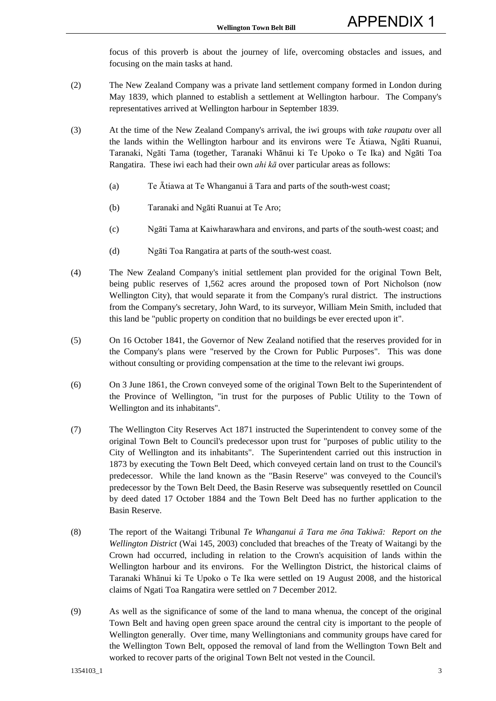focus of this proverb is about the journey of life, overcoming obstacles and issues, and focusing on the main tasks at hand.

- (2) The New Zealand Company was a private land settlement company formed in London during May 1839, which planned to establish a settlement at Wellington harbour. The Company's representatives arrived at Wellington harbour in September 1839.
- (3) At the time of the New Zealand Company's arrival, the iwi groups with *take raupatu* over all the lands within the Wellington harbour and its environs were Te Ātiawa, Ngāti Ruanui, Taranaki, Ngāti Tama (together, Taranaki Whānui ki Te Upoko o Te Ika) and Ngāti Toa Rangatira. These iwi each had their own *ahi kā* over particular areas as follows:
	- (a) Te Ātiawa at Te Whanganui ā Tara and parts of the south-west coast;
	- (b) Taranaki and Ngāti Ruanui at Te Aro;
	- (c) Ngāti Tama at Kaiwharawhara and environs, and parts of the south-west coast; and
	- (d) Ngāti Toa Rangatira at parts of the south-west coast.
- (4) The New Zealand Company's initial settlement plan provided for the original Town Belt, being public reserves of 1,562 acres around the proposed town of Port Nicholson (now Wellington City), that would separate it from the Company's rural district. The instructions from the Company's secretary, John Ward, to its surveyor, William Mein Smith, included that this land be "public property on condition that no buildings be ever erected upon it".
- (5) On 16 October 1841, the Governor of New Zealand notified that the reserves provided for in the Company's plans were "reserved by the Crown for Public Purposes". This was done without consulting or providing compensation at the time to the relevant iwi groups.
- (6) On 3 June 1861, the Crown conveyed some of the original Town Belt to the Superintendent of the Province of Wellington, "in trust for the purposes of Public Utility to the Town of Wellington and its inhabitants".
- (7) The Wellington City Reserves Act 1871 instructed the Superintendent to convey some of the original Town Belt to Council's predecessor upon trust for "purposes of public utility to the City of Wellington and its inhabitants". The Superintendent carried out this instruction in 1873 by executing the Town Belt Deed, which conveyed certain land on trust to the Council's predecessor. While the land known as the "Basin Reserve" was conveyed to the Council's predecessor by the Town Belt Deed, the Basin Reserve was subsequently resettled on Council by deed dated 17 October 1884 and the Town Belt Deed has no further application to the Basin Reserve.
- (8) The report of the Waitangi Tribunal *Te Whanganui ā Tara me ōna Takiwā: Report on the Wellington District* (Wai 145, 2003) concluded that breaches of the Treaty of Waitangi by the Crown had occurred, including in relation to the Crown's acquisition of lands within the Wellington harbour and its environs. For the Wellington District, the historical claims of Taranaki Whānui ki Te Upoko o Te Ika were settled on 19 August 2008, and the historical claims of Ngati Toa Rangatira were settled on 7 December 2012.
- (9) As well as the significance of some of the land to mana whenua, the concept of the original Town Belt and having open green space around the central city is important to the people of Wellington generally. Over time, many Wellingtonians and community groups have cared for the Wellington Town Belt, opposed the removal of land from the Wellington Town Belt and worked to recover parts of the original Town Belt not vested in the Council.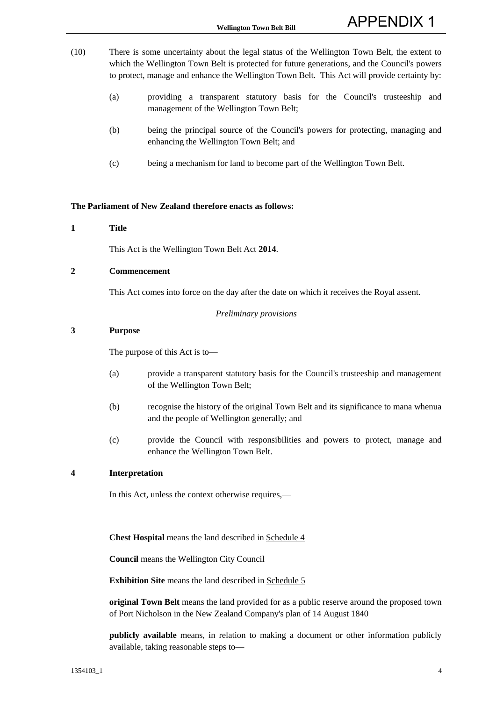- (10) There is some uncertainty about the legal status of the Wellington Town Belt, the extent to which the Wellington Town Belt is protected for future generations, and the Council's powers to protect, manage and enhance the Wellington Town Belt. This Act will provide certainty by:
	- (a) providing a transparent statutory basis for the Council's trusteeship and management of the Wellington Town Belt;
	- (b) being the principal source of the Council's powers for protecting, managing and enhancing the Wellington Town Belt; and
	- (c) being a mechanism for land to become part of the Wellington Town Belt.

#### **The Parliament of New Zealand therefore enacts as follows:**

#### **1 Title**

This Act is the Wellington Town Belt Act **2014**.

#### **2 Commencement**

This Act comes into force on the day after the date on which it receives the Royal assent.

#### *Preliminary provisions*

#### **3 Purpose**

The purpose of this Act is to—

- (a) provide a transparent statutory basis for the Council's trusteeship and management of the Wellington Town Belt;
- (b) recognise the history of the original Town Belt and its significance to mana whenua and the people of Wellington generally; and
- (c) provide the Council with responsibilities and powers to protect, manage and enhance the Wellington Town Belt.

#### **4 Interpretation**

In this Act, unless the context otherwise requires,—

 **Chest Hospital** means the land described in Schedule 4

 **Council** means the Wellington City Council

**Exhibition Site** means the land described in Schedule 5

 **original Town Belt** means the land provided for as a public reserve around the proposed town of Port Nicholson in the New Zealand Company's plan of 14 August 1840

 **publicly available** means, in relation to making a document or other information publicly available, taking reasonable steps to—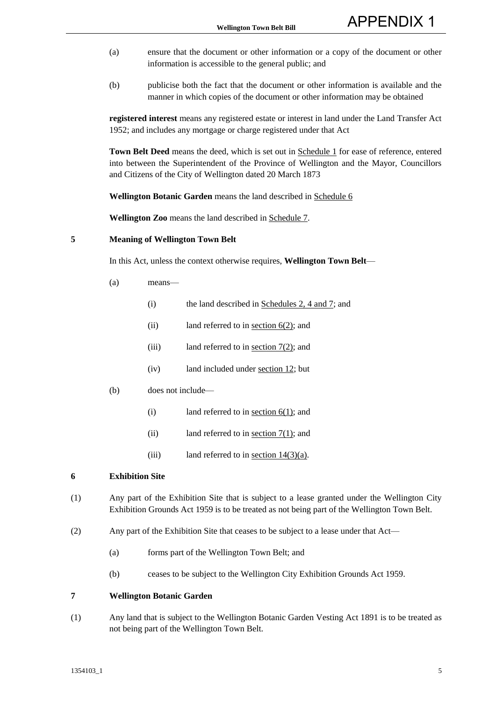- (a) ensure that the document or other information or a copy of the document or other information is accessible to the general public; and
- (b) publicise both the fact that the document or other information is available and the manner in which copies of the document or other information may be obtained

**registered interest** means any registered estate or interest in land under the Land Transfer Act 1952; and includes any mortgage or charge registered under that Act

 **Town Belt Deed** means the deed, which is set out in Schedule 1 for ease of reference, entered into between the Superintendent of the Province of Wellington and the Mayor, Councillors and Citizens of the City of Wellington dated 20 March 1873

 **Wellington Botanic Garden** means the land described in Schedule 6

 **Wellington Zoo** means the land described in Schedule 7.

#### **5 Meaning of Wellington Town Belt**

In this Act, unless the context otherwise requires, **Wellington Town Belt**—

- (a) means—
	- (i) the land described in Schedules 2, 4 and 7; and
	- (ii) land referred to in <u>section  $6(2)$ </u>; and
	- (iii) land referred to in <u>section  $7(2)$ </u>; and
	- (iv) land included under section 12; but
- (b) does not include—
	- (i) land referred to in <u>section  $6(1)$ </u>; and
	- (ii) land referred to in section  $7(1)$ ; and
	- (iii) land referred to in <u>section  $14(3)(a)$ </u>.

#### **6 Exhibition Site**

- (1) Any part of the Exhibition Site that is subject to a lease granted under the Wellington City Exhibition Grounds Act 1959 is to be treated as not being part of the Wellington Town Belt.
- (2) Any part of the Exhibition Site that ceases to be subject to a lease under that Act—
	- (a) forms part of the Wellington Town Belt; and
	- (b) ceases to be subject to the Wellington City Exhibition Grounds Act 1959.

#### **7 Wellington Botanic Garden**

(1) Any land that is subject to the Wellington Botanic Garden Vesting Act 1891 is to be treated as not being part of the Wellington Town Belt.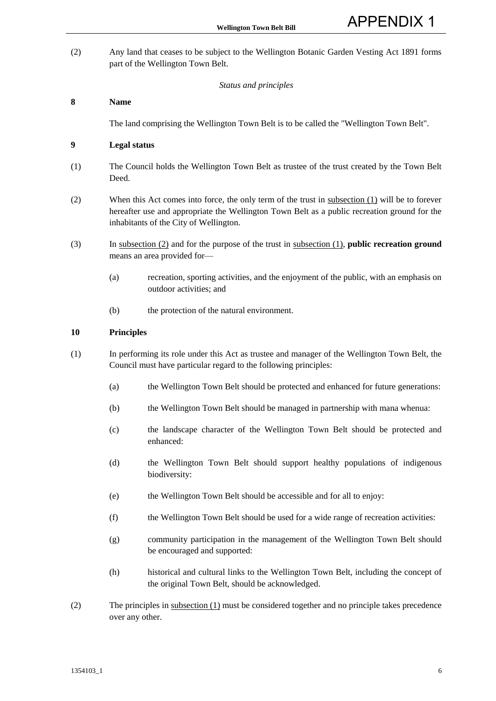(2) Any land that ceases to be subject to the Wellington Botanic Garden Vesting Act 1891 forms part of the Wellington Town Belt.

#### *Status and principles*

#### **8 Name**

The land comprising the Wellington Town Belt is to be called the "Wellington Town Belt".

#### **9 Legal status**

- (1) The Council holds the Wellington Town Belt as trustee of the trust created by the Town Belt Deed.
- (2) When this Act comes into force, the only term of the trust in subsection (1) will be to forever hereafter use and appropriate the Wellington Town Belt as a public recreation ground for the inhabitants of the City of Wellington.
- (3) In subsection (2) and for the purpose of the trust in subsection (1), **public recreation ground** means an area provided for—
	- (a) recreation, sporting activities, and the enjoyment of the public, with an emphasis on outdoor activities; and
	- (b) the protection of the natural environment.

#### **10 Principles**

- (1) In performing its role under this Act as trustee and manager of the Wellington Town Belt, the Council must have particular regard to the following principles:
	- (a) the Wellington Town Belt should be protected and enhanced for future generations:
	- (b) the Wellington Town Belt should be managed in partnership with mana whenua:
	- (c) the landscape character of the Wellington Town Belt should be protected and enhanced:
	- (d) the Wellington Town Belt should support healthy populations of indigenous biodiversity:
	- (e) the Wellington Town Belt should be accessible and for all to enjoy:
	- (f) the Wellington Town Belt should be used for a wide range of recreation activities:
	- (g) community participation in the management of the Wellington Town Belt should be encouraged and supported:
	- (h) historical and cultural links to the Wellington Town Belt, including the concept of the original Town Belt, should be acknowledged.
- (2) The principles in subsection (1) must be considered together and no principle takes precedence over any other.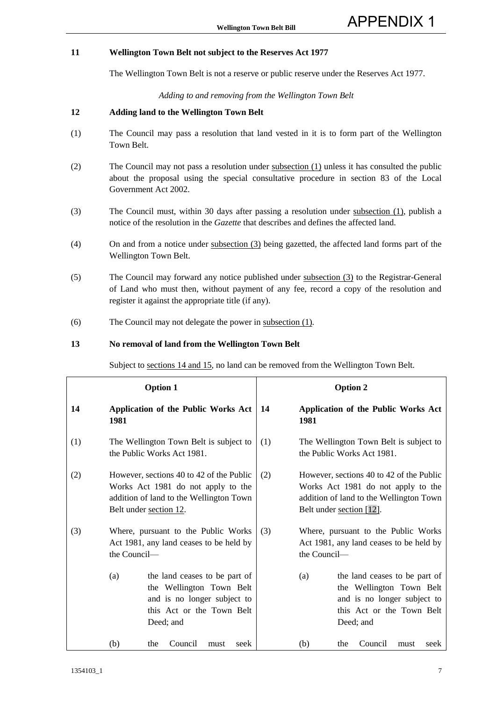#### **11 Wellington Town Belt not subject to the Reserves Act 1977**

The Wellington Town Belt is not a reserve or public reserve under the Reserves Act 1977.

#### *Adding to and removing from the Wellington Town Belt*

#### **12 Adding land to the Wellington Town Belt**

- (1) The Council may pass a resolution that land vested in it is to form part of the Wellington Town Belt.
- (2) The Council may not pass a resolution under subsection (1) unless it has consulted the public about the proposal using the special consultative procedure in section 83 of the Local Government Act 2002.
- (3) The Council must, within 30 days after passing a resolution under subsection (1), publish a notice of the resolution in the *Gazette* that describes and defines the affected land.
- (4) On and from a notice under subsection (3) being gazetted, the affected land forms part of the Wellington Town Belt.
- (5) The Council may forward any notice published under subsection (3) to the Registrar-General of Land who must then, without payment of any fee, record a copy of the resolution and register it against the appropriate title (if any).
- (6) The Council may not delegate the power in subsection (1).

#### **13 No removal of land from the Wellington Town Belt**

Subject to sections 14 and 15, no land can be removed from the Wellington Town Belt.

| <b>Option 1</b> |                                                                                                                                                     |                                                                                                                                    | <b>Option 2</b> |                                                                                                                                                       |              |                                                                                                                                    |
|-----------------|-----------------------------------------------------------------------------------------------------------------------------------------------------|------------------------------------------------------------------------------------------------------------------------------------|-----------------|-------------------------------------------------------------------------------------------------------------------------------------------------------|--------------|------------------------------------------------------------------------------------------------------------------------------------|
| 14              | 1981                                                                                                                                                | <b>Application of the Public Works Act</b>                                                                                         |                 | -14                                                                                                                                                   | 1981         | <b>Application of the Public Works Act</b>                                                                                         |
| (1)             |                                                                                                                                                     | The Wellington Town Belt is subject to<br>the Public Works Act 1981.                                                               |                 | (1)                                                                                                                                                   |              | The Wellington Town Belt is subject to<br>the Public Works Act 1981.                                                               |
| (2)             | However, sections 40 to 42 of the Public<br>Works Act 1981 do not apply to the<br>addition of land to the Wellington Town<br>Belt under section 12. |                                                                                                                                    | (2)             | However, sections 40 to 42 of the Public<br>Works Act 1981 do not apply to the<br>addition of land to the Wellington Town<br>Belt under section [12]. |              |                                                                                                                                    |
| (3)             | the Council—                                                                                                                                        | Where, pursuant to the Public Works<br>Act 1981, any land ceases to be held by                                                     |                 | (3)                                                                                                                                                   | the Council— | Where, pursuant to the Public Works<br>Act 1981, any land ceases to be held by                                                     |
|                 | (a)                                                                                                                                                 | the land ceases to be part of<br>the Wellington Town Belt<br>and is no longer subject to<br>this Act or the Town Belt<br>Deed; and |                 |                                                                                                                                                       | (a)          | the land ceases to be part of<br>the Wellington Town Belt<br>and is no longer subject to<br>this Act or the Town Belt<br>Deed; and |
|                 | (b)                                                                                                                                                 | the<br>Council<br>seek<br>must                                                                                                     |                 |                                                                                                                                                       | (b)          | Council<br>the<br>seek<br>must                                                                                                     |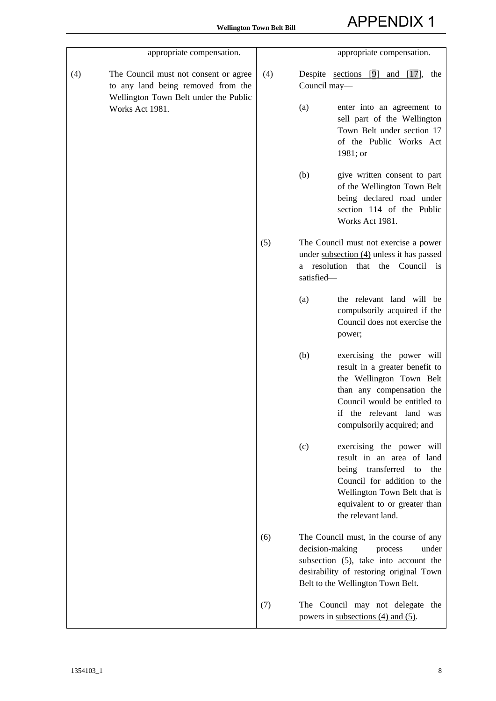| appropriate compensation.                                                                                                   |     | appropriate compensation.                                                                                                                                                                                                |  |
|-----------------------------------------------------------------------------------------------------------------------------|-----|--------------------------------------------------------------------------------------------------------------------------------------------------------------------------------------------------------------------------|--|
| (4)<br>The Council must not consent or agree<br>to any land being removed from the<br>Wellington Town Belt under the Public | (4) | Despite <u>sections</u> [9]<br>and $[17]$ ,<br>the<br>Council may-                                                                                                                                                       |  |
| Works Act 1981.                                                                                                             |     | (a)<br>enter into an agreement to<br>sell part of the Wellington<br>Town Belt under section 17<br>of the Public Works Act<br>1981; or                                                                                    |  |
|                                                                                                                             |     | (b)<br>give written consent to part<br>of the Wellington Town Belt<br>being declared road under<br>section 114 of the Public<br>Works Act 1981.                                                                          |  |
|                                                                                                                             | (5) | The Council must not exercise a power<br>under subsection (4) unless it has passed<br>that the Council<br>a resolution<br>$\overline{1}$<br>satisfied-                                                                   |  |
|                                                                                                                             |     | the relevant land will be<br>(a)<br>compulsorily acquired if the<br>Council does not exercise the<br>power;                                                                                                              |  |
|                                                                                                                             |     | (b)<br>exercising the power will<br>result in a greater benefit to<br>the Wellington Town Belt<br>than any compensation the<br>Council would be entitled to<br>if the relevant land was<br>compulsorily acquired; and    |  |
|                                                                                                                             |     | (c)<br>exercising the power will<br>result in an area of land<br>transferred<br>being<br>the<br>to<br>Council for addition to the<br>Wellington Town Belt that is<br>equivalent to or greater than<br>the relevant land. |  |
|                                                                                                                             | (6) | The Council must, in the course of any<br>decision-making<br>under<br>process<br>subsection (5), take into account the<br>desirability of restoring original Town<br>Belt to the Wellington Town Belt.                   |  |
|                                                                                                                             | (7) | The Council may not delegate the<br>powers in subsections $(4)$ and $(5)$ .                                                                                                                                              |  |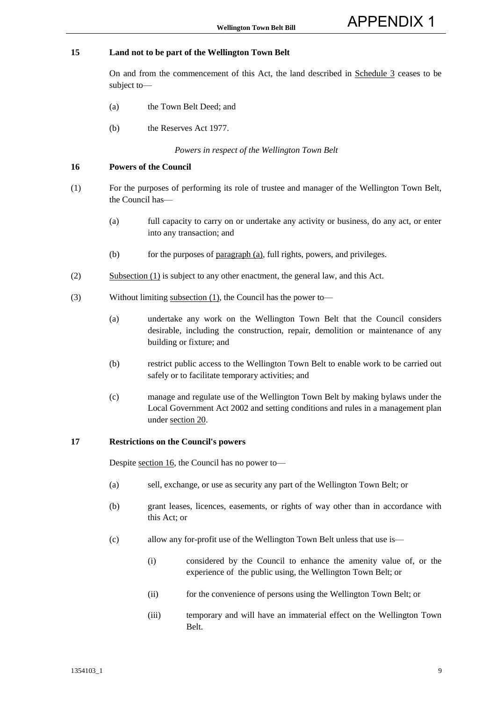#### **15 Land not to be part of the Wellington Town Belt**

 On and from the commencement of this Act, the land described in Schedule 3 ceases to be subject to—

- (a) the Town Belt Deed; and
- (b) the Reserves Act 1977.

*Powers in respect of the Wellington Town Belt* 

#### **16 Powers of the Council**

- (1) For the purposes of performing its role of trustee and manager of the Wellington Town Belt, the Council has—
	- (a) full capacity to carry on or undertake any activity or business, do any act, or enter into any transaction; and
	- (b) for the purposes of paragraph (a), full rights, powers, and privileges.
- (2) Subsection (1) is subject to any other enactment, the general law, and this Act.
- (3) Without limiting subsection (1), the Council has the power to—
	- (a) undertake any work on the Wellington Town Belt that the Council considers desirable, including the construction, repair, demolition or maintenance of any building or fixture; and
	- (b) restrict public access to the Wellington Town Belt to enable work to be carried out safely or to facilitate temporary activities; and
	- (c) manage and regulate use of the Wellington Town Belt by making bylaws under the Local Government Act 2002 and setting conditions and rules in a management plan under section 20.

#### **17 Restrictions on the Council's powers**

Despite section 16, the Council has no power to—

- (a) sell, exchange, or use as security any part of the Wellington Town Belt; or
- (b) grant leases, licences, easements, or rights of way other than in accordance with this Act; or
- (c) allow any for-profit use of the Wellington Town Belt unless that use is—
	- (i) considered by the Council to enhance the amenity value of, or the experience of the public using, the Wellington Town Belt; or
	- (ii) for the convenience of persons using the Wellington Town Belt; or
	- (iii) temporary and will have an immaterial effect on the Wellington Town Belt.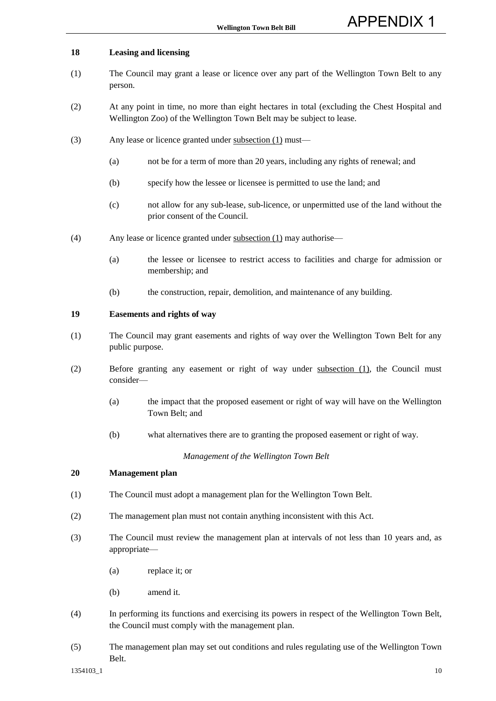#### **18 Leasing and licensing**

- (1) The Council may grant a lease or licence over any part of the Wellington Town Belt to any person.
- (2) At any point in time, no more than eight hectares in total (excluding the Chest Hospital and Wellington Zoo) of the Wellington Town Belt may be subject to lease.
- (3) Any lease or licence granted under subsection (1) must—
	- (a) not be for a term of more than 20 years, including any rights of renewal; and
	- (b) specify how the lessee or licensee is permitted to use the land; and
	- (c) not allow for any sub-lease, sub-licence, or unpermitted use of the land without the prior consent of the Council.
- (4) Any lease or licence granted under subsection (1) may authorise—
	- (a) the lessee or licensee to restrict access to facilities and charge for admission or membership; and
	- (b) the construction, repair, demolition, and maintenance of any building.

#### **19 Easements and rights of way**

- (1) The Council may grant easements and rights of way over the Wellington Town Belt for any public purpose.
- (2) Before granting any easement or right of way under subsection (1), the Council must consider—
	- (a) the impact that the proposed easement or right of way will have on the Wellington Town Belt; and
	- (b) what alternatives there are to granting the proposed easement or right of way.

*Management of the Wellington Town Belt* 

#### **20 Management plan**

- (1) The Council must adopt a management plan for the Wellington Town Belt.
- (2) The management plan must not contain anything inconsistent with this Act.
- (3) The Council must review the management plan at intervals of not less than 10 years and, as appropriate—
	- (a) replace it; or
	- (b) amend it.
- (4) In performing its functions and exercising its powers in respect of the Wellington Town Belt, the Council must comply with the management plan.
- (5) The management plan may set out conditions and rules regulating use of the Wellington Town Belt.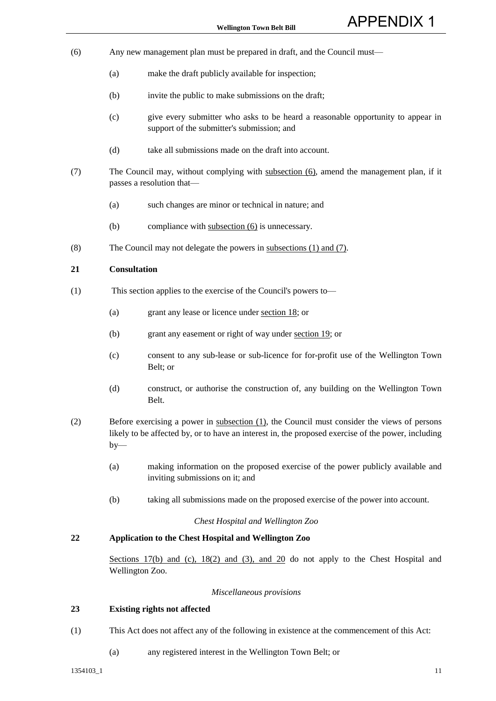- (6) Any new management plan must be prepared in draft, and the Council must—
	- (a) make the draft publicly available for inspection;
	- (b) invite the public to make submissions on the draft;
	- (c) give every submitter who asks to be heard a reasonable opportunity to appear in support of the submitter's submission; and
	- (d) take all submissions made on the draft into account.
- (7) The Council may, without complying with subsection (6), amend the management plan, if it passes a resolution that—
	- (a) such changes are minor or technical in nature; and
	- (b) compliance with subsection (6) is unnecessary.
- (8) The Council may not delegate the powers in subsections (1) and (7).

#### **21 Consultation**

- (1) This section applies to the exercise of the Council's powers to—
	- (a) grant any lease or licence under section 18; or
	- (b) grant any easement or right of way under section 19; or
	- (c) consent to any sub-lease or sub-licence for for-profit use of the Wellington Town Belt; or
	- (d) construct, or authorise the construction of, any building on the Wellington Town Belt.
- (2) Before exercising a power in subsection (1), the Council must consider the views of persons likely to be affected by, or to have an interest in, the proposed exercise of the power, including  $by-$ 
	- (a) making information on the proposed exercise of the power publicly available and inviting submissions on it; and
	- (b) taking all submissions made on the proposed exercise of the power into account.

#### *Chest Hospital and Wellington Zoo*

#### **22 Application to the Chest Hospital and Wellington Zoo**

Sections 17(b) and (c), 18(2) and (3), and 20 do not apply to the Chest Hospital and Wellington Zoo.

#### *Miscellaneous provisions*

#### **23 Existing rights not affected**

- (1) This Act does not affect any of the following in existence at the commencement of this Act:
	- (a) any registered interest in the Wellington Town Belt; or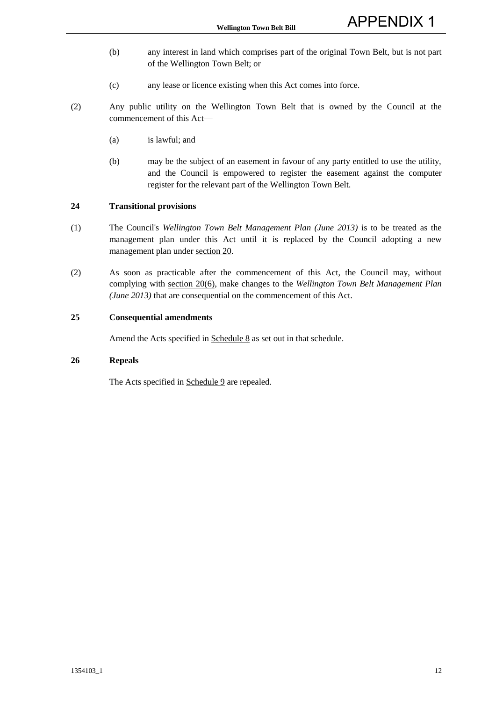- (b) any interest in land which comprises part of the original Town Belt, but is not part of the Wellington Town Belt; or
- (c) any lease or licence existing when this Act comes into force.
- (2) Any public utility on the Wellington Town Belt that is owned by the Council at the commencement of this Act—
	- (a) is lawful; and
	- (b) may be the subject of an easement in favour of any party entitled to use the utility, and the Council is empowered to register the easement against the computer register for the relevant part of the Wellington Town Belt.

#### **24 Transitional provisions**

- (1) The Council's *Wellington Town Belt Management Plan (June 2013)* is to be treated as the management plan under this Act until it is replaced by the Council adopting a new management plan under section 20.
- (2) As soon as practicable after the commencement of this Act, the Council may, without complying with section 20(6), make changes to the *Wellington Town Belt Management Plan (June 2013)* that are consequential on the commencement of this Act.

#### **25 Consequential amendments**

Amend the Acts specified in Schedule 8 as set out in that schedule.

#### **26 Repeals**

The Acts specified in Schedule 9 are repealed.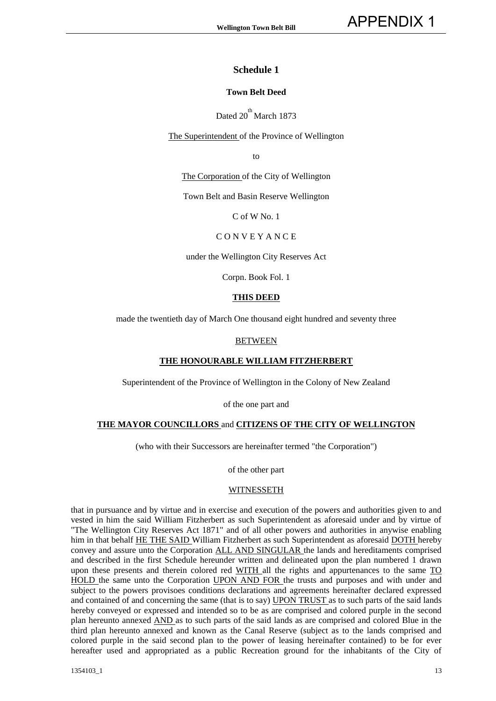#### **Town Belt Deed**

Dated  $20^{\text{th}}$  March 1873

The Superintendent of the Province of Wellington

to

The Corporation of the City of Wellington

Town Belt and Basin Reserve Wellington

C of W No. 1

#### C O N V E Y A N C E

under the Wellington City Reserves Act

Corpn. Book Fol. 1

#### **THIS DEED**

made the twentieth day of March One thousand eight hundred and seventy three

#### BETWEEN

#### **THE HONOURABLE WILLIAM FITZHERBERT**

Superintendent of the Province of Wellington in the Colony of New Zealand

of the one part and

#### **THE MAYOR COUNCILLORS** and **CITIZENS OF THE CITY OF WELLINGTON**

(who with their Successors are hereinafter termed "the Corporation")

of the other part

#### **WITNESSETH**

that in pursuance and by virtue and in exercise and execution of the powers and authorities given to and vested in him the said William Fitzherbert as such Superintendent as aforesaid under and by virtue of "The Wellington City Reserves Act 1871" and of all other powers and authorities in anywise enabling him in that behalf HE THE SAID William Fitzherbert as such Superintendent as aforesaid DOTH hereby convey and assure unto the Corporation ALL AND SINGULAR the lands and hereditaments comprised and described in the first Schedule hereunder written and delineated upon the plan numbered 1 drawn upon these presents and therein colored red WITH all the rights and appurtenances to the same TO HOLD the same unto the Corporation UPON AND FOR the trusts and purposes and with under and subject to the powers provisoes conditions declarations and agreements hereinafter declared expressed and contained of and concerning the same (that is to say) UPON TRUST as to such parts of the said lands hereby conveyed or expressed and intended so to be as are comprised and colored purple in the second plan hereunto annexed AND as to such parts of the said lands as are comprised and colored Blue in the third plan hereunto annexed and known as the Canal Reserve (subject as to the lands comprised and colored purple in the said second plan to the power of leasing hereinafter contained) to be for ever hereafter used and appropriated as a public Recreation ground for the inhabitants of the City of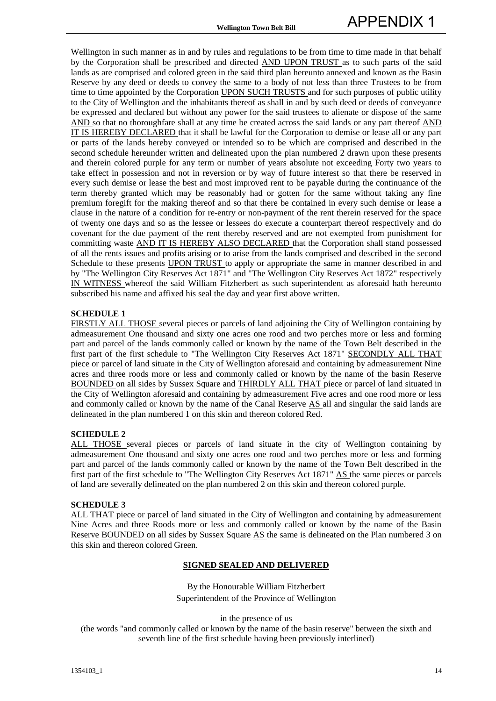Wellington in such manner as in and by rules and regulations to be from time to time made in that behalf by the Corporation shall be prescribed and directed AND UPON TRUST as to such parts of the said lands as are comprised and colored green in the said third plan hereunto annexed and known as the Basin Reserve by any deed or deeds to convey the same to a body of not less than three Trustees to be from time to time appointed by the Corporation UPON SUCH TRUSTS and for such purposes of public utility to the City of Wellington and the inhabitants thereof as shall in and by such deed or deeds of conveyance be expressed and declared but without any power for the said trustees to alienate or dispose of the same AND so that no thoroughfare shall at any time be created across the said lands or any part thereof AND IT IS HEREBY DECLARED that it shall be lawful for the Corporation to demise or lease all or any part or parts of the lands hereby conveyed or intended so to be which are comprised and described in the second schedule hereunder written and delineated upon the plan numbered 2 drawn upon these presents and therein colored purple for any term or number of years absolute not exceeding Forty two years to take effect in possession and not in reversion or by way of future interest so that there be reserved in every such demise or lease the best and most improved rent to be payable during the continuance of the term thereby granted which may be reasonably had or gotten for the same without taking any fine premium foregift for the making thereof and so that there be contained in every such demise or lease a clause in the nature of a condition for re-entry or non-payment of the rent therein reserved for the space of twenty one days and so as the lessee or lessees do execute a counterpart thereof respectively and do covenant for the due payment of the rent thereby reserved and are not exempted from punishment for committing waste AND IT IS HEREBY ALSO DECLARED that the Corporation shall stand possessed of all the rents issues and profits arising or to arise from the lands comprised and described in the second Schedule to these presents UPON TRUST to apply or appropriate the same in manner described in and by "The Wellington City Reserves Act 1871" and "The Wellington City Reserves Act 1872" respectively IN WITNESS whereof the said William Fitzherbert as such superintendent as aforesaid hath hereunto subscribed his name and affixed his seal the day and year first above written.

#### **SCHEDULE 1**

FIRSTLY ALL THOSE several pieces or parcels of land adjoining the City of Wellington containing by admeasurement One thousand and sixty one acres one rood and two perches more or less and forming part and parcel of the lands commonly called or known by the name of the Town Belt described in the first part of the first schedule to "The Wellington City Reserves Act 1871" SECONDLY ALL THAT piece or parcel of land situate in the City of Wellington aforesaid and containing by admeasurement Nine acres and three roods more or less and commonly called or known by the name of the basin Reserve BOUNDED on all sides by Sussex Square and THIRDLY ALL THAT piece or parcel of land situated in the City of Wellington aforesaid and containing by admeasurement Five acres and one rood more or less and commonly called or known by the name of the Canal Reserve AS all and singular the said lands are delineated in the plan numbered 1 on this skin and thereon colored Red.

#### **SCHEDULE 2**

ALL THOSE several pieces or parcels of land situate in the city of Wellington containing by admeasurement One thousand and sixty one acres one rood and two perches more or less and forming part and parcel of the lands commonly called or known by the name of the Town Belt described in the first part of the first schedule to "The Wellington City Reserves Act 1871" AS the same pieces or parcels of land are severally delineated on the plan numbered 2 on this skin and thereon colored purple.

#### **SCHEDULE 3**

ALL THAT piece or parcel of land situated in the City of Wellington and containing by admeasurement Nine Acres and three Roods more or less and commonly called or known by the name of the Basin Reserve BOUNDED on all sides by Sussex Square AS the same is delineated on the Plan numbered 3 on this skin and thereon colored Green.

#### **SIGNED SEALED AND DELIVERED**

By the Honourable William Fitzherbert Superintendent of the Province of Wellington

in the presence of us

(the words "and commonly called or known by the name of the basin reserve" between the sixth and seventh line of the first schedule having been previously interlined)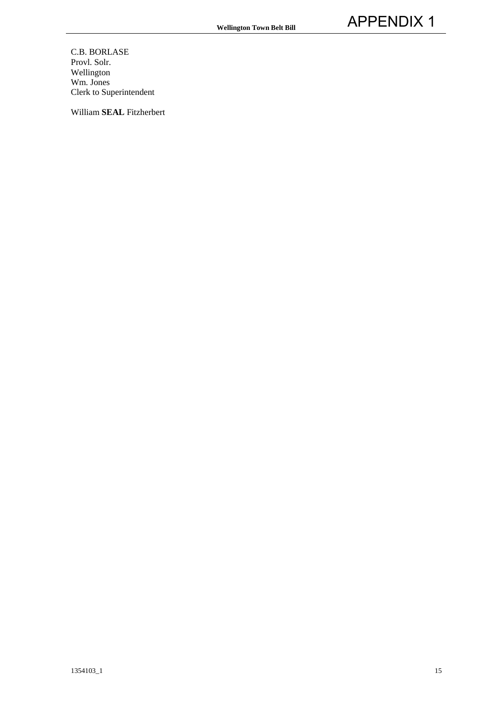C.B. BORLASE Provl. Solr. Wellington Wm. Jones Clerk to Superintendent

William **SEAL** Fitzherbert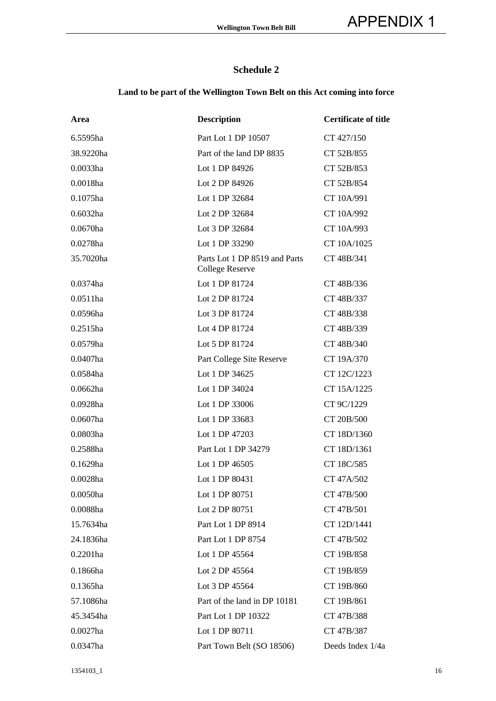## **Land to be part of the Wellington Town Belt on this Act coming into force**

| Area        | <b>Description</b>                                      | <b>Certificate of title</b> |
|-------------|---------------------------------------------------------|-----------------------------|
| 6.5595ha    | Part Lot 1 DP 10507                                     | CT 427/150                  |
| 38.9220ha   | Part of the land DP 8835                                | CT 52B/855                  |
| 0.0033ha    | Lot 1 DP 84926                                          | CT 52B/853                  |
| 0.0018ha    | Lot 2 DP 84926                                          | CT 52B/854                  |
| 0.1075ha    | Lot 1 DP 32684                                          | CT 10A/991                  |
| 0.6032ha    | Lot 2 DP 32684                                          | CT 10A/992                  |
| 0.0670ha    | Lot 3 DP 32684                                          | CT 10A/993                  |
| 0.0278ha    | Lot 1 DP 33290                                          | CT 10A/1025                 |
| 35.7020ha   | Parts Lot 1 DP 8519 and Parts<br><b>College Reserve</b> | CT 48B/341                  |
| 0.0374ha    | Lot 1 DP 81724                                          | CT 48B/336                  |
| 0.0511ha    | Lot 2 DP 81724                                          | CT 48B/337                  |
| 0.0596ha    | Lot 3 DP 81724                                          | CT 48B/338                  |
| $0.2515$ ha | Lot 4 DP 81724                                          | CT 48B/339                  |
| 0.0579ha    | Lot 5 DP 81724                                          | CT 48B/340                  |
| 0.0407ha    | Part College Site Reserve                               | CT 19A/370                  |
| 0.0584ha    | Lot 1 DP 34625                                          | CT 12C/1223                 |
| 0.0662ha    | Lot 1 DP 34024                                          | CT 15A/1225                 |
| 0.0928ha    | Lot 1 DP 33006                                          | CT 9C/1229                  |
| 0.0607ha    | Lot 1 DP 33683                                          | CT 20B/500                  |
| 0.0803ha    | Lot 1 DP 47203                                          | CT 18D/1360                 |
| 0.2588ha    | Part Lot 1 DP 34279                                     | CT 18D/1361                 |
| 0.1629ha    | Lot 1 DP 46505                                          | CT 18C/585                  |
| 0.0028ha    | Lot 1 DP 80431                                          | CT 47A/502                  |
| 0.0050ha    | Lot 1 DP 80751                                          | CT 47B/500                  |
| 0.0088ha    | Lot 2 DP 80751                                          | CT 47B/501                  |
| 15.7634ha   | Part Lot 1 DP 8914                                      | CT 12D/1441                 |
| 24.1836ha   | Part Lot 1 DP 8754                                      | CT 47B/502                  |
| $0.2201$ ha | Lot 1 DP 45564                                          | CT 19B/858                  |
| 0.1866ha    | Lot 2 DP 45564                                          | CT 19B/859                  |
| 0.1365ha    | Lot 3 DP 45564                                          | CT 19B/860                  |
| 57.1086ha   | Part of the land in DP 10181                            | CT 19B/861                  |
| 45.3454ha   | Part Lot 1 DP 10322                                     | CT 47B/388                  |
| $0.0027$ ha | Lot 1 DP 80711                                          | CT 47B/387                  |
| 0.0347ha    | Part Town Belt (SO 18506)                               | Deeds Index 1/4a            |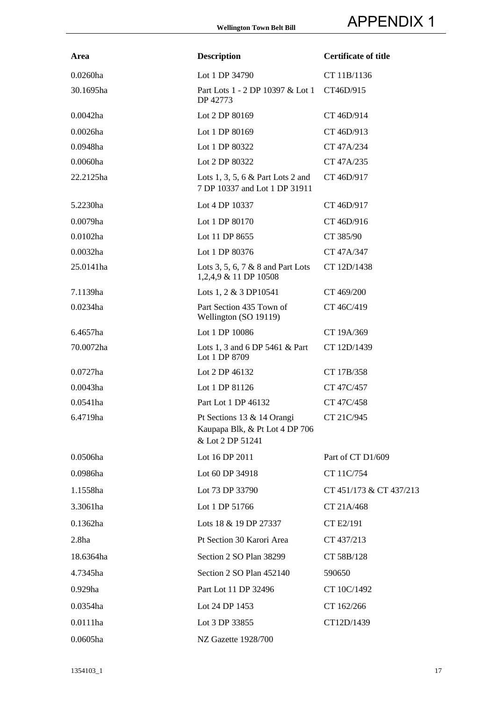| Area              | <b>Description</b>                                                               | <b>Certificate of title</b> |
|-------------------|----------------------------------------------------------------------------------|-----------------------------|
| 0.0260ha          | Lot 1 DP 34790                                                                   | CT 11B/1136                 |
| 30.1695ha         | Part Lots 1 - 2 DP 10397 & Lot 1<br>DP 42773                                     | CT46D/915                   |
| $0.0042$ ha       | Lot 2 DP 80169                                                                   | CT 46D/914                  |
| $0.0026$ ha       | Lot 1 DP 80169                                                                   | CT 46D/913                  |
| 0.0948ha          | Lot 1 DP 80322                                                                   | CT 47A/234                  |
| 0.0060ha          | Lot 2 DP 80322                                                                   | CT 47A/235                  |
| 22.2125ha         | Lots 1, 3, 5, 6 $\&$ Part Lots 2 and<br>7 DP 10337 and Lot 1 DP 31911            | CT 46D/917                  |
| 5.2230ha          | Lot 4 DP 10337                                                                   | CT 46D/917                  |
| 0.0079ha          | Lot 1 DP 80170                                                                   | CT 46D/916                  |
| $0.0102$ ha       | Lot 11 DP 8655                                                                   | CT 385/90                   |
| $0.0032$ ha       | Lot 1 DP 80376                                                                   | CT 47A/347                  |
| 25.0141ha         | Lots 3, 5, 6, 7 $\&$ 8 and Part Lots<br>1,2,4,9 & 11 DP 10508                    | CT 12D/1438                 |
| 7.1139ha          | Lots 1, 2 & 3 DP10541                                                            | CT 469/200                  |
| 0.0234ha          | Part Section 435 Town of<br>Wellington (SO 19119)                                | CT 46C/419                  |
| 6.4657ha          | Lot 1 DP 10086                                                                   | CT 19A/369                  |
| 70.0072ha         | Lots 1, 3 and 6 DP 5461 $\&$ Part<br>Lot 1 DP 8709                               | CT 12D/1439                 |
| $0.0727$ ha       | Lot 2 DP $46132$                                                                 | CT 17B/358                  |
| 0.0043ha          | Lot 1 DP 81126                                                                   | CT 47C/457                  |
| 0.0541ha          | Part Lot 1 DP 46132                                                              | CT 47C/458                  |
| 6.4719ha          | Pt Sections 13 & 14 Orangi<br>Kaupapa Blk, & Pt Lot 4 DP 706<br>& Lot 2 DP 51241 | CT 21C/945                  |
| 0.0506ha          | Lot 16 DP 2011                                                                   | Part of CT D1/609           |
| 0.0986ha          | Lot 60 DP 34918                                                                  | CT 11C/754                  |
| 1.1558ha          | Lot 73 DP 33790                                                                  | CT 451/173 & CT 437/213     |
| 3.3061ha          | Lot 1 DP 51766                                                                   | CT 21A/468                  |
| 0.1362ha          | Lots 18 & 19 DP 27337                                                            | CT E2/191                   |
| 2.8 <sub>ha</sub> | Pt Section 30 Karori Area                                                        | CT 437/213                  |
| 18.6364ha         | Section 2 SO Plan 38299                                                          | CT 58B/128                  |
| 4.7345ha          | Section 2 SO Plan 452140                                                         | 590650                      |
| 0.929ha           | Part Lot 11 DP 32496                                                             | CT 10C/1492                 |
| 0.0354ha          | Lot 24 DP 1453                                                                   | CT 162/266                  |
| 0.0111ha          | Lot 3 DP 33855                                                                   | CT12D/1439                  |
| 0.0605ha          | NZ Gazette 1928/700                                                              |                             |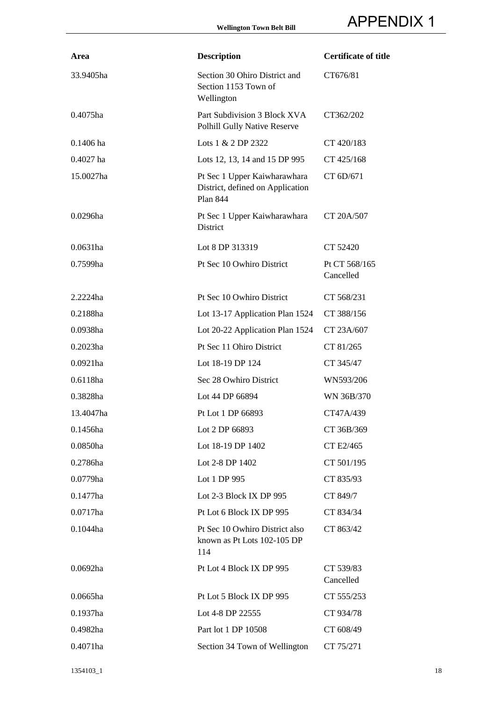| Area        | <b>Description</b>                                                                  | <b>Certificate of title</b> |
|-------------|-------------------------------------------------------------------------------------|-----------------------------|
| 33.9405ha   | Section 30 Ohiro District and<br>Section 1153 Town of<br>Wellington                 | CT676/81                    |
| 0.4075ha    | Part Subdivision 3 Block XVA<br>Polhill Gully Native Reserve                        | CT362/202                   |
| $0.1406$ ha | Lots 1 & 2 DP 2322                                                                  | CT 420/183                  |
| $0.4027$ ha | Lots 12, 13, 14 and 15 DP 995                                                       | CT 425/168                  |
| 15.0027ha   | Pt Sec 1 Upper Kaiwharawhara<br>District, defined on Application<br><b>Plan 844</b> | CT 6D/671                   |
| 0.0296ha    | Pt Sec 1 Upper Kaiwharawhara<br>District                                            | CT 20A/507                  |
| $0.0631$ ha | Lot 8 DP 313319                                                                     | CT 52420                    |
| 0.7599ha    | Pt Sec 10 Owhiro District                                                           | Pt CT 568/165<br>Cancelled  |
| 2.2224ha    | Pt Sec 10 Owhiro District                                                           | CT 568/231                  |
| 0.2188ha    | Lot 13-17 Application Plan 1524                                                     | CT 388/156                  |
| 0.0938ha    | Lot 20-22 Application Plan 1524                                                     | CT 23A/607                  |
| $0.2023$ ha | Pt Sec 11 Ohiro District                                                            | CT 81/265                   |
| 0.0921ha    | Lot 18-19 DP 124                                                                    | CT 345/47                   |
| 0.6118ha    | Sec 28 Owhiro District                                                              | WN593/206                   |
| 0.3828ha    | Lot 44 DP 66894                                                                     | WN 36B/370                  |
| 13.4047ha   | Pt Lot 1 DP 66893                                                                   | CT47A/439                   |
| 0.1456ha    | Lot 2 DP 66893                                                                      | CT 36B/369                  |
| 0.0850ha    | Lot 18-19 DP 1402                                                                   | CT E2/465                   |
| 0.2786ha    | Lot 2-8 DP 1402                                                                     | CT 501/195                  |
| $0.0779$ ha | Lot 1 DP 995                                                                        | CT 835/93                   |
| $0.1477$ ha | Lot 2-3 Block IX DP 995                                                             | CT 849/7                    |
| $0.0717$ ha | Pt Lot 6 Block IX DP 995                                                            | CT 834/34                   |
| 0.1044ha    | Pt Sec 10 Owhiro District also<br>known as Pt Lots 102-105 DP<br>114                | CT 863/42                   |
| $0.0692$ ha | Pt Lot 4 Block IX DP 995                                                            | CT 539/83<br>Cancelled      |
| 0.0665ha    | Pt Lot 5 Block IX DP 995                                                            | CT 555/253                  |
| 0.1937ha    | Lot 4-8 DP 22555                                                                    | CT 934/78                   |
| 0.4982ha    | Part lot 1 DP 10508                                                                 | CT 608/49                   |
| 0.4071ha    | Section 34 Town of Wellington                                                       | CT 75/271                   |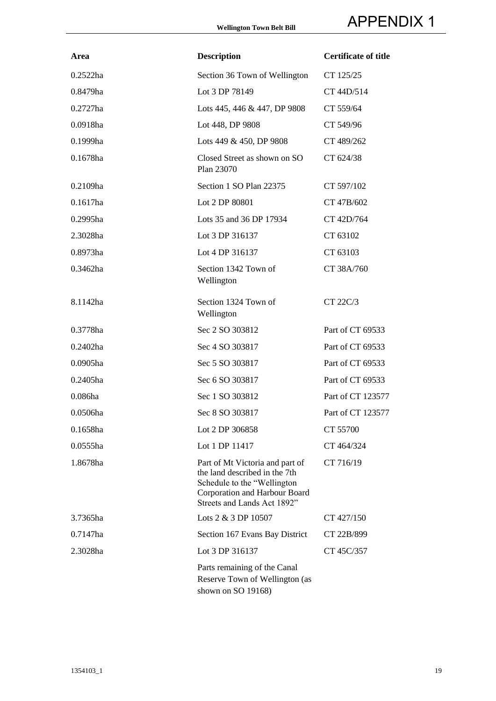| Area        | <b>Description</b>                                                                                                                                               | <b>Certificate of title</b> |
|-------------|------------------------------------------------------------------------------------------------------------------------------------------------------------------|-----------------------------|
| 0.2522ha    | Section 36 Town of Wellington                                                                                                                                    | CT 125/25                   |
| 0.8479ha    | Lot 3 DP 78149                                                                                                                                                   | CT 44D/514                  |
| $0.2727$ ha | Lots 445, 446 & 447, DP 9808                                                                                                                                     | CT 559/64                   |
| 0.0918ha    | Lot 448, DP 9808                                                                                                                                                 | CT 549/96                   |
| 0.1999ha    | Lots 449 & 450, DP 9808                                                                                                                                          | CT 489/262                  |
| 0.1678ha    | Closed Street as shown on SO<br>Plan 23070                                                                                                                       | CT 624/38                   |
| 0.2109ha    | Section 1 SO Plan 22375                                                                                                                                          | CT 597/102                  |
| $0.1617$ ha | Lot 2 DP 80801                                                                                                                                                   | CT 47B/602                  |
| 0.2995ha    | Lots 35 and 36 DP 17934                                                                                                                                          | CT 42D/764                  |
| 2.3028ha    | Lot 3 DP 316137                                                                                                                                                  | CT 63102                    |
| 0.8973ha    | Lot 4 DP 316137                                                                                                                                                  | CT 63103                    |
| 0.3462ha    | Section 1342 Town of<br>Wellington                                                                                                                               | CT 38A/760                  |
| 8.1142ha    | Section 1324 Town of<br>Wellington                                                                                                                               | CT 22C/3                    |
| 0.3778ha    | Sec 2 SO 303812                                                                                                                                                  | Part of CT 69533            |
| 0.2402ha    | Sec 4 SO 303817                                                                                                                                                  | Part of CT 69533            |
| 0.0905ha    | Sec 5 SO 303817                                                                                                                                                  | Part of CT 69533            |
| 0.2405ha    | Sec 6 SO 303817                                                                                                                                                  | Part of CT 69533            |
| 0.086ha     | Sec 1 SO 303812                                                                                                                                                  | Part of CT 123577           |
| 0.0506ha    | Sec 8 SO 303817                                                                                                                                                  | Part of CT 123577           |
| 0.1658ha    | Lot 2 DP 306858                                                                                                                                                  | CT 55700                    |
| 0.0555ha    | Lot 1 DP 11417                                                                                                                                                   | CT 464/324                  |
| 1.8678ha    | Part of Mt Victoria and part of<br>the land described in the 7th<br>Schedule to the "Wellington"<br>Corporation and Harbour Board<br>Streets and Lands Act 1892" | CT 716/19                   |
| 3.7365ha    | Lots 2 & 3 DP 10507                                                                                                                                              | CT 427/150                  |
| 0.7147ha    | Section 167 Evans Bay District                                                                                                                                   | CT 22B/899                  |
| 2.3028ha    | Lot 3 DP 316137                                                                                                                                                  | CT 45C/357                  |
|             | Parts remaining of the Canal<br>Reserve Town of Wellington (as<br>shown on SO 19168)                                                                             |                             |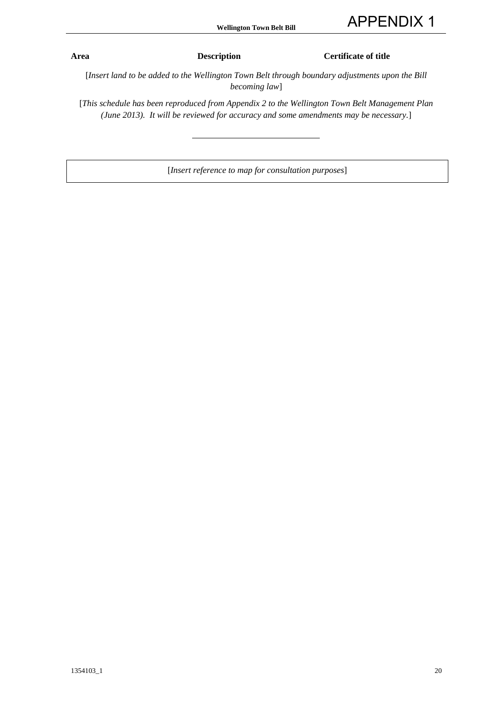**Area Description Certificate of title**

[*Insert land to be added to the Wellington Town Belt through boundary adjustments upon the Bill becoming law*]

[*This schedule has been reproduced from Appendix 2 to the Wellington Town Belt Management Plan (June 2013). It will be reviewed for accuracy and some amendments may be necessary.*]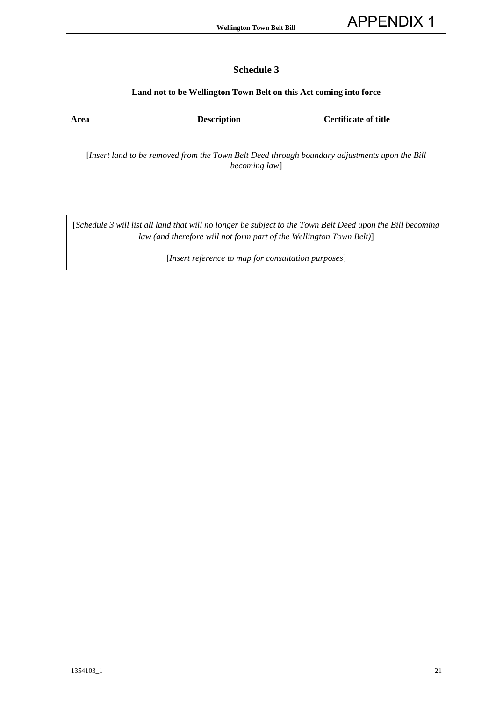#### **Land not to be Wellington Town Belt on this Act coming into force**

**Area Description Certificate of title**

[*Insert land to be removed from the Town Belt Deed through boundary adjustments upon the Bill becoming law*]

[*Schedule 3 will list all land that will no longer be subject to the Town Belt Deed upon the Bill becoming law (and therefore will not form part of the Wellington Town Belt)*]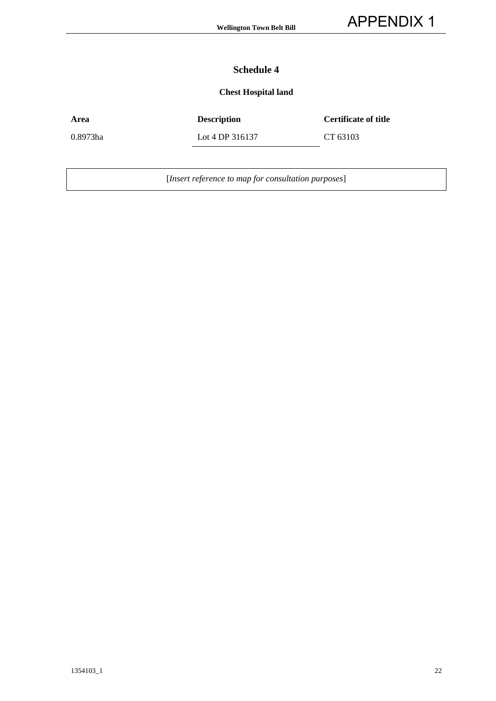## **Chest Hospital land**

| Area     | <b>Description</b> | <b>Certificate of title</b> |
|----------|--------------------|-----------------------------|
| 0.8973ha | Lot 4 DP 316137    | CT 63103                    |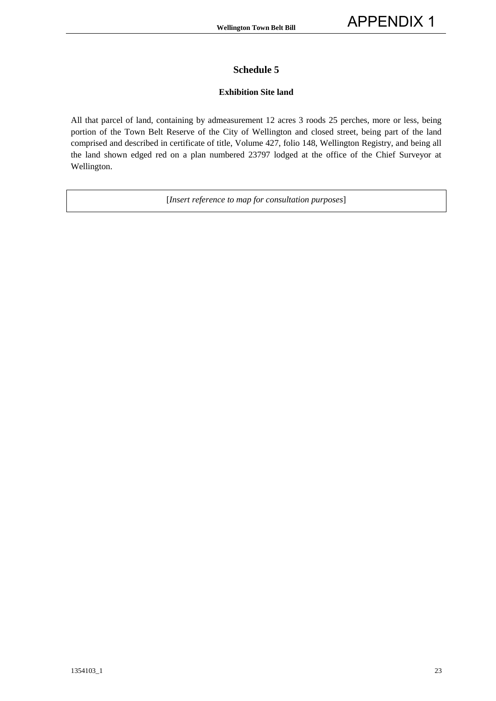#### **Exhibition Site land**

All that parcel of land, containing by admeasurement 12 acres 3 roods 25 perches, more or less, being portion of the Town Belt Reserve of the City of Wellington and closed street, being part of the land comprised and described in certificate of title, Volume 427, folio 148, Wellington Registry, and being all the land shown edged red on a plan numbered 23797 lodged at the office of the Chief Surveyor at Wellington.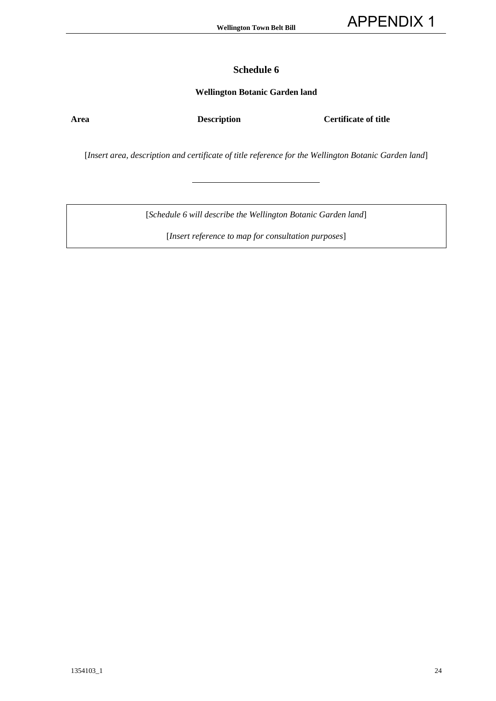#### **Wellington Botanic Garden land**

**Area Description Certificate of title**

[*Insert area, description and certificate of title reference for the Wellington Botanic Garden land*]

[*Schedule 6 will describe the Wellington Botanic Garden land*]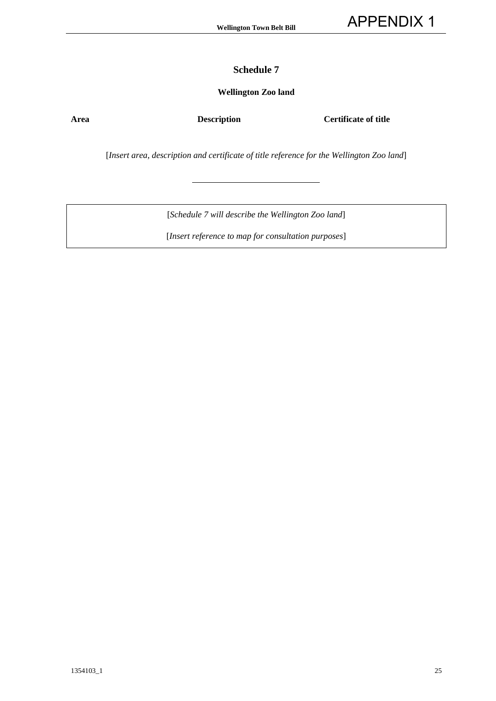#### **Wellington Zoo land**

**Area Description Certificate of title**

[*Insert area, description and certificate of title reference for the Wellington Zoo land*]

[*Schedule 7 will describe the Wellington Zoo land*]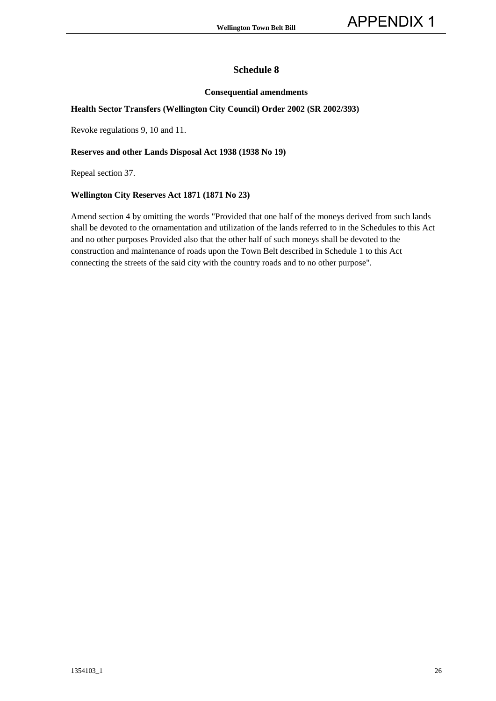#### **Consequential amendments**

#### **Health Sector Transfers (Wellington City Council) Order 2002 (SR 2002/393)**

Revoke regulations 9, 10 and 11.

#### **Reserves and other Lands Disposal Act 1938 (1938 No 19)**

Repeal section 37.

#### **Wellington City Reserves Act 1871 (1871 No 23)**

Amend section 4 by omitting the words "Provided that one half of the moneys derived from such lands shall be devoted to the ornamentation and utilization of the lands referred to in the Schedules to this Act and no other purposes Provided also that the other half of such moneys shall be devoted to the construction and maintenance of roads upon the Town Belt described in Schedule 1 to this Act connecting the streets of the said city with the country roads and to no other purpose".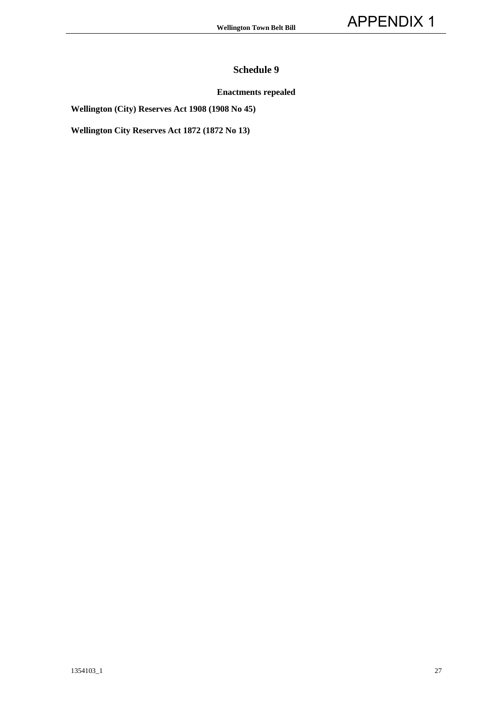#### **Enactments repealed**

**Wellington (City) Reserves Act 1908 (1908 No 45)** 

**Wellington City Reserves Act 1872 (1872 No 13)**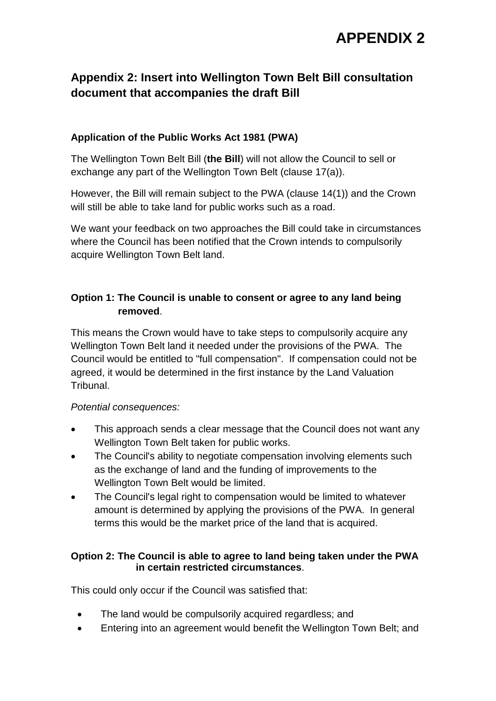# **Appendix 2: Insert into Wellington Town Belt Bill consultation document that accompanies the draft Bill**

## **Application of the Public Works Act 1981 (PWA)**

The Wellington Town Belt Bill (**the Bill**) will not allow the Council to sell or exchange any part of the Wellington Town Belt (clause 17(a)).

However, the Bill will remain subject to the PWA (clause 14(1)) and the Crown will still be able to take land for public works such as a road.

We want your feedback on two approaches the Bill could take in circumstances where the Council has been notified that the Crown intends to compulsorily acquire Wellington Town Belt land.

## **Option 1: The Council is unable to consent or agree to any land being removed**.

This means the Crown would have to take steps to compulsorily acquire any Wellington Town Belt land it needed under the provisions of the PWA. The Council would be entitled to "full compensation". If compensation could not be agreed, it would be determined in the first instance by the Land Valuation Tribunal.

## *Potential consequences:*

- This approach sends a clear message that the Council does not want any Wellington Town Belt taken for public works.
- The Council's ability to negotiate compensation involving elements such as the exchange of land and the funding of improvements to the Wellington Town Belt would be limited.
- The Council's legal right to compensation would be limited to whatever amount is determined by applying the provisions of the PWA. In general terms this would be the market price of the land that is acquired.

## **Option 2: The Council is able to agree to land being taken under the PWA in certain restricted circumstances**.

This could only occur if the Council was satisfied that:

- The land would be compulsorily acquired regardless; and
- Entering into an agreement would benefit the Wellington Town Belt; and